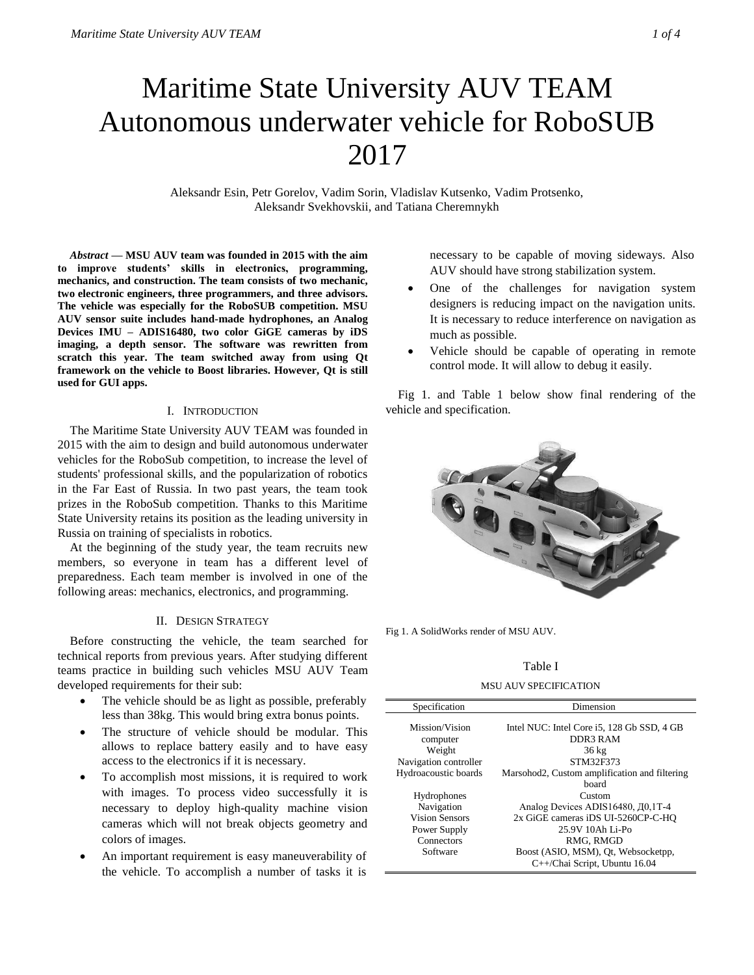# Maritime State University AUV TEAM Autonomous underwater vehicle for RoboSUB 2017

Aleksandr Esin, Petr Gorelov, Vadim Sorin, Vladislav Kutsenko, Vadim Protsenko, Aleksandr Svekhovskii, and Tatiana Cheremnykh

*Abstract* **— MSU AUV team was founded in 2015 with the aim to improve students' skills in electronics, programming, mechanics, and construction. The team consists of two mechanic, two electronic engineers, three programmers, and three advisors. The vehicle was especially for the RoboSUB competition. MSU AUV sensor suite includes hand-made hydrophones, an Analog Devices IMU – ADIS16480, two color GiGE cameras by iDS imaging, a depth sensor. The software was rewritten from scratch this year. The team switched away from using Qt framework on the vehicle to Boost libraries. However, Qt is still used for GUI apps.**

## I. INTRODUCTION

The Maritime State University AUV TEAM was founded in 2015 with the aim to design and build autonomous underwater vehicles for the RoboSub competition, to increase the level of students' professional skills, and the popularization of robotics in the Far East of Russia. In two past years, the team took prizes in the RoboSub competition. Thanks to this Maritime State University retains its position as the leading university in Russia on training of specialists in robotics.

At the beginning of the study year, the team recruits new members, so everyone in team has a different level of preparedness. Each team member is involved in one of the following areas: mechanics, electronics, and programming.

## II. DESIGN STRATEGY

Before constructing the vehicle, the team searched for technical reports from previous years. After studying different teams practice in building such vehicles MSU AUV Team developed requirements for their sub:

- The vehicle should be as light as possible, preferably less than 38kg. This would bring extra bonus points.
- The structure of vehicle should be modular. This allows to replace battery easily and to have easy access to the electronics if it is necessary.
- To accomplish most missions, it is required to work with images. To process video successfully it is necessary to deploy high-quality machine vision cameras which will not break objects geometry and colors of images.
- An important requirement is easy maneuverability of the vehicle. To accomplish a number of tasks it is

necessary to be capable of moving sideways. Also AUV should have strong stabilization system.

- One of the challenges for navigation system designers is reducing impact on the navigation units. It is necessary to reduce interference on navigation as much as possible.
- Vehicle should be capable of operating in remote control mode. It will allow to debug it easily.

Fig 1. and Table 1 below show final rendering of the vehicle and specification.



Fig 1. A SolidWorks render of MSU AUV.

# Table I

MSU AUV SPECIFICATION

| Specification                   | Dimension                                              |
|---------------------------------|--------------------------------------------------------|
| Mission/Vision<br>computer      | Intel NUC: Intel Core i5, 128 Gb SSD, 4 GB<br>DDR3 RAM |
| Weight<br>Navigation controller | $36 \text{ kg}$<br>STM32F373                           |
| Hydroacoustic boards            | Marsohod2, Custom amplification and filtering<br>board |
| Hydrophones                     | Custom                                                 |
| Navigation                      | Analog Devices ADIS16480, Д0,1Т-4                      |
| <b>Vision Sensors</b>           | 2x GiGE cameras iDS UI-5260CP-C-HO                     |
| Power Supply                    | 25.9V 10Ah Li-Po                                       |
| Connectors                      | RMG, RMGD                                              |
| Software                        | Boost (ASIO, MSM), Qt, Websocketpp,                    |
|                                 | C++/Chai Script, Ubuntu 16.04                          |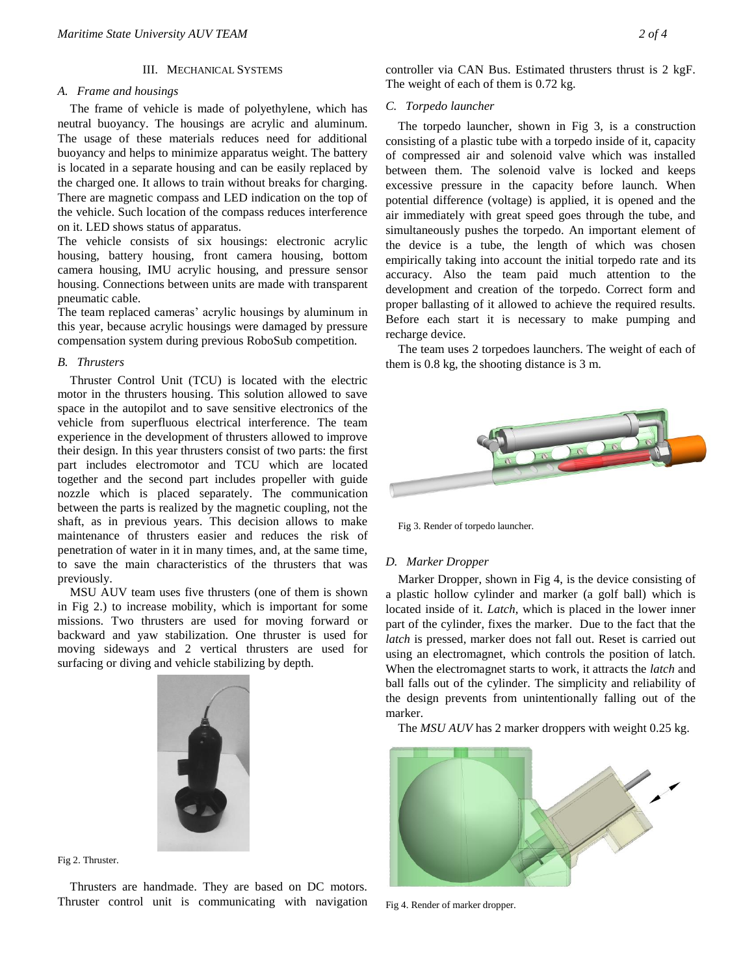## III. MECHANICAL SYSTEMS

## *A. Frame and housings*

The frame of vehicle is made of polyethylene, which has neutral buoyancy. The housings are acrylic and aluminum. The usage of these materials reduces need for additional buoyancy and helps to minimize apparatus weight. The battery is located in a separate housing and can be easily replaced by the charged one. It allows to train without breaks for charging. There are magnetic compass and LED indication on the top of the vehicle. Such location of the compass reduces interference on it. LED shows status of apparatus.

The vehicle consists of six housings: electronic acrylic housing, battery housing, front camera housing, bottom camera housing, IMU acrylic housing, and pressure sensor housing. Connections between units are made with transparent pneumatic cable.

The team replaced cameras' acrylic housings by aluminum in this year, because acrylic housings were damaged by pressure compensation system during previous RoboSub competition.

#### *B. Thrusters*

Thruster Control Unit (TCU) is located with the electric motor in the thrusters housing. This solution allowed to save space in the autopilot and to save sensitive electronics of the vehicle from superfluous electrical interference. The team experience in the development of thrusters allowed to improve their design. In this year thrusters consist of two parts: the first part includes electromotor and TCU which are located together and the second part includes propeller with guide nozzle which is placed separately. The communication between the parts is realized by the magnetic coupling, not the shaft, as in previous years. This decision allows to make maintenance of thrusters easier and reduces the risk of penetration of water in it in many times, and, at the same time, to save the main characteristics of the thrusters that was previously.

MSU AUV team uses five thrusters (one of them is shown in Fig 2.) to increase mobility, which is important for some missions. Two thrusters are used for moving forward or backward and yaw stabilization. One thruster is used for moving sideways and 2 vertical thrusters are used for surfacing or diving and vehicle stabilizing by depth.



Fig 2. Thruster.

Thrusters are handmade. They are based on DC motors. Thruster control unit is communicating with navigation controller via CAN Bus. Estimated thrusters thrust is 2 kgF. The weight of each of them is 0.72 kg.

## *C. Torpedo launcher*

The torpedo launcher, shown in Fig 3, is a construction consisting of a plastic tube with a torpedo inside of it, capacity of compressed air and solenoid valve which was installed between them. The solenoid valve is locked and keeps excessive pressure in the capacity before launch. When potential difference (voltage) is applied, it is opened and the air immediately with great speed goes through the tube, and simultaneously pushes the torpedo. An important element of the device is a tube, the length of which was chosen empirically taking into account the initial torpedo rate and its accuracy. Also the team paid much attention to the development and creation of the torpedo. Correct form and proper ballasting of it allowed to achieve the required results. Before each start it is necessary to make pumping and recharge device.

The team uses 2 torpedoes launchers. The weight of each of them is 0.8 kg, the shooting distance is 3 m.



Fig 3. Render of torpedo launcher.

## *D. Marker Dropper*

Marker Dropper, shown in Fig 4, is the device consisting of a plastic hollow cylinder and marker (a golf ball) which is located inside of it. *Latch*, which is placed in the lower inner part of the cylinder, fixes the marker. Due to the fact that the *latch* is pressed, marker does not fall out. Reset is carried out using an electromagnet, which controls the position of latch. When the electromagnet starts to work, it attracts the *latch* and ball falls out of the cylinder. The simplicity and reliability of the design prevents from unintentionally falling out of the marker.

The *MSU AUV* has 2 marker droppers with weight 0.25 kg.



Fig 4. Render of marker dropper.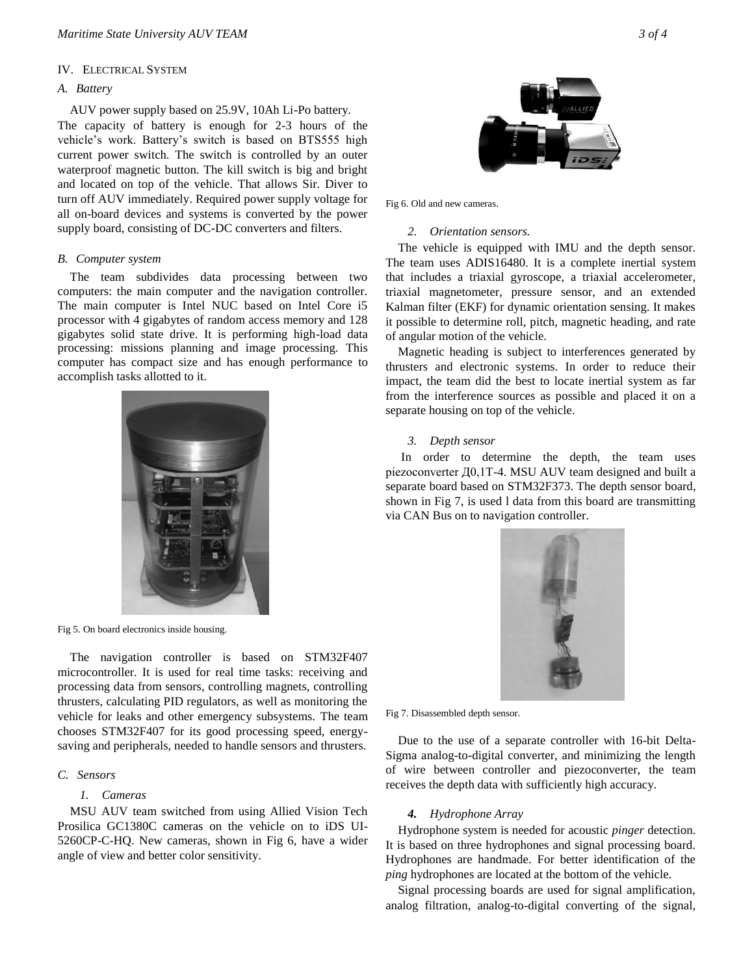## IV. ELECTRICAL SYSTEM

# *A. Battery*

AUV power supply based on 25.9V, 10Ah Li-Po battery.

The capacity of battery is enough for 2-3 hours of the vehicle's work. Battery's switch is based on BTS555 high current power switch. The switch is controlled by an outer waterproof magnetic button. The kill switch is big and bright and located on top of the vehicle. That allows Sir. Diver to turn off AUV immediately. Required power supply voltage for all on-board devices and systems is converted by the power supply board, consisting of DC-DC converters and filters.

#### *B. Computer system*

The team subdivides data processing between two computers: the main computer and the navigation controller. The main computer is Intel NUC based on Intel Core i5 processor with 4 gigabytes of random access memory and 128 gigabytes solid state drive. It is performing high-load data processing: missions planning and image processing. This computer has compact size and has enough performance to accomplish tasks allotted to it.



Fig 5. On board electronics inside housing.

The navigation controller is based on STM32F407 microcontroller. It is used for real time tasks: receiving and processing data from sensors, controlling magnets, controlling thrusters, calculating PID regulators, as well as monitoring the vehicle for leaks and other emergency subsystems. The team chooses STM32F407 for its good processing speed, energysaving and peripherals, needed to handle sensors and thrusters.

# *C. Sensors*

## *1. Cameras*

MSU AUV team switched from using Allied Vision Tech Prosilica GC1380C cameras on the vehicle on to iDS UI-5260CP-C-HQ. New cameras, shown in Fig 6, have a wider angle of view and better color sensitivity.



Fig 6. Old and new cameras.

# *2. Orientation sensors.*

The vehicle is equipped with IMU and the depth sensor. The team uses ADIS16480. It is a complete inertial system that includes a triaxial gyroscope, a triaxial accelerometer, triaxial magnetometer, pressure sensor, and an extended Kalman filter (EKF) for dynamic orientation sensing. It makes it possible to determine roll, pitch, magnetic heading, and rate of angular motion of the vehicle.

Magnetic heading is subject to interferences generated by thrusters and electronic systems. In order to reduce their impact, the team did the best to locate inertial system as far from the interference sources as possible and placed it on a separate housing on top of the vehicle.

## *3. Depth sensor*

In order to determine the depth, the team uses piezoconverter Д0,1Т-4. MSU AUV team designed and built a separate board based on STM32F373. The depth sensor board, shown in Fig 7, is used l data from this board are transmitting via CAN Bus on to navigation controller.



Fig 7. Disassembled depth sensor.

Due to the use of a separate controller with 16-bit Delta-Sigma analog-to-digital converter, and minimizing the length of wire between controller and piezoconverter, the team receives the depth data with sufficiently high accuracy.

## *4. Hydrophone Array*

Hydrophone system is needed for acoustic *pinger* detection. It is based on three hydrophones and signal processing board. Hydrophones are handmade. For better identification of the *ping* hydrophones are located at the bottom of the vehicle.

Signal processing boards are used for signal amplification, analog filtration, analog-to-digital converting of the signal,